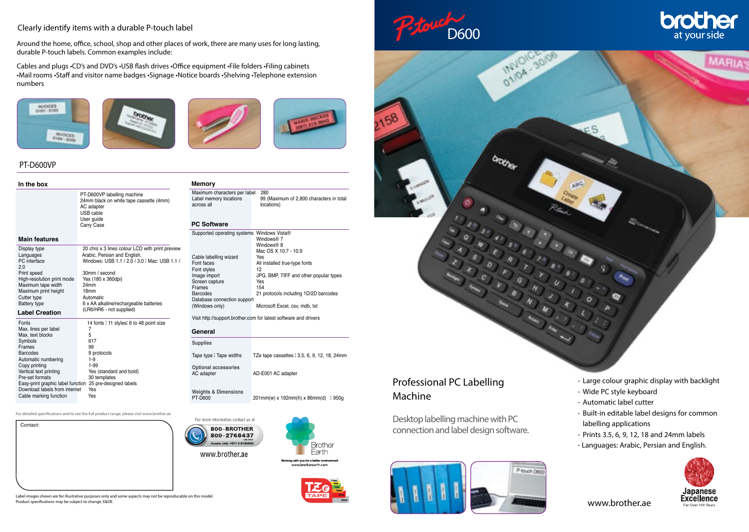### Clearly identify items with a durable P-touch label

Around the home, office, school, shop and other places of work, there are many uses for long lasting, durable P-touch labels. Common examples include:

Cables and plugs •CD's and DVD's •USB flash drives •Office equipment •File folders •Filing cabinets •Mail rooms •Staff and visitor name badges •Signage •Notice boards •Shelving •Telephone extension numbers







## PT-D600VP

#### **In the box**

PT-D600VP labelling machine 24mm black on white tape cassette (4mm) AC adapter USB cable User guide Carry Case

## **Main features**

Contact:

| Display type<br>Languages<br>PC interface<br>2.0<br>Print speed | 20 chrs x 3 lines colour LCD with print preview<br>Arabic, Persian and English.<br>Windows: USB 1.1 / 2.0 / 3.0   Mac: USB 1.1 /<br>30mm / second |
|-----------------------------------------------------------------|---------------------------------------------------------------------------------------------------------------------------------------------------|
| High-resolution print mode                                      | Yes (180 x 360dpi)                                                                                                                                |
| Maximum tape width                                              | 24mm                                                                                                                                              |
| Maximum print height                                            | 18 <sub>mm</sub>                                                                                                                                  |
| Cutter type                                                     | Automatic                                                                                                                                         |
| <b>Battery type</b>                                             | 6 x AA alkaline/rechargeable batteries                                                                                                            |
| <b>Label Creation</b>                                           | (LR6/HR6 - not supplied)                                                                                                                          |
| Fonts                                                           | 14 fonts : 11 styles: 6 to 48 point size                                                                                                          |
| Max. lines per label                                            | 7                                                                                                                                                 |
| Max. text blocks                                                | 5                                                                                                                                                 |
| Symbols                                                         | 617                                                                                                                                               |
| Frames                                                          | 99                                                                                                                                                |
| <b>Barcodes</b>                                                 | 9 protocols                                                                                                                                       |
| Automatic numbering                                             | $1-9$                                                                                                                                             |
| Copy printing                                                   | $1-99$                                                                                                                                            |
| Vertical text printing                                          | Yes (standard and bold)                                                                                                                           |
| Pre-set formats                                                 | 30 templates                                                                                                                                      |
| Easy-print graphic label function                               | 25 pre-designed labels                                                                                                                            |
| Download labels from internet                                   | Yes                                                                                                                                               |
| Cable marking function                                          | Yes                                                                                                                                               |

For detailed specifications and to see the full product range, please visit www.brother.ae





#### **PC Software**

**Memory**

| Supported operating systems Windows Vista® |                                        |
|--------------------------------------------|----------------------------------------|
|                                            | Windows® 7                             |
|                                            | Windows® 8                             |
|                                            | Mac OS X 10.7 - 10.9                   |
| Cable labelling wizard                     | Yes                                    |
| Font faces                                 | All installed true-type fonts          |
| Font styles                                | 12                                     |
| Image import                               | JPG, BMP, TIFF and other popular types |
| Screen capture                             | Yes                                    |
| <b>Frames</b>                              | 154                                    |
| Barcodes                                   | 21 protocols including 1D/2D barcodes  |
| Database connection support                |                                        |
| (Windows only)                             | Microsoft Excel, csv, mdb, txt         |
|                                            |                                        |

Visit http://support.brother.com for latest software and drivers

#### **General**

| <b>Supplies</b>                           |                                              |
|-------------------------------------------|----------------------------------------------|
| Tape type I Tape widths                   | TZe tape cassettes : 3.5, 6, 9, 12, 18, 24mm |
| <b>Optional accessories</b><br>AC adapter | AD-E001 AC adapter                           |

**Weights & Dimensions**  $201$ mm(w) x 192mm(h) x 86mm(d)  $\frac{1}{2}$  950g







# brother at your side



# Professional PC Labelling Machine

Desktop labelling machine with PC connection and label design software.

P-fouch Distr

- Large colour graphic display with backlight
- Wide PC style keyboard
- Automatic label cutter
- Built-in editable label designs for common labelling applications
- Prints 3.5, 6, 9, 12, 18 and 24mm labels
- Languages: Arabic, Persian and English.

![](_page_0_Picture_35.jpeg)

www.brother.ae

Label images shown are for illustrative purposes only and some aspects may not be reproducable on this model. Product specifications may be subject to change. E&OE.